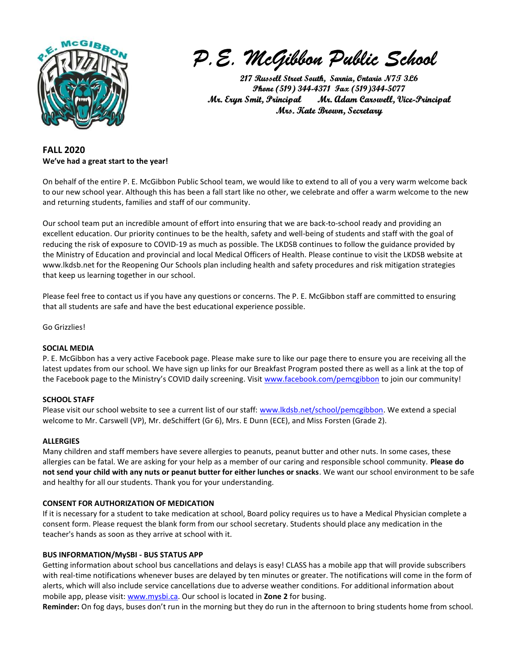

P.E. McGibbon Public School

217 Russell Street South, Sarnia, Ontario N7T 3L6 Phone (519) 344-4371 Fax (519)344-5077 Mr. Eryn Smit, Principal Mr. Adam Carswell, Vice-Principal Mrs. Kate Brown, Secretary

# FALL 2020 We've had a great start to the year!

On behalf of the entire P. E. McGibbon Public School team, we would like to extend to all of you a very warm welcome back to our new school year. Although this has been a fall start like no other, we celebrate and offer a warm welcome to the new and returning students, families and staff of our community.

Our school team put an incredible amount of effort into ensuring that we are back-to-school ready and providing an excellent education. Our priority continues to be the health, safety and well-being of students and staff with the goal of reducing the risk of exposure to COVID-19 as much as possible. The LKDSB continues to follow the guidance provided by the Ministry of Education and provincial and local Medical Officers of Health. Please continue to visit the LKDSB website at www.lkdsb.net for the Reopening Our Schools plan including health and safety procedures and risk mitigation strategies that keep us learning together in our school.

Please feel free to contact us if you have any questions or concerns. The P. E. McGibbon staff are committed to ensuring that all students are safe and have the best educational experience possible.

Go Grizzlies!

## SOCIAL MEDIA

P. E. McGibbon has a very active Facebook page. Please make sure to like our page there to ensure you are receiving all the latest updates from our school. We have sign up links for our Breakfast Program posted there as well as a link at the top of the Facebook page to the Ministry's COVID daily screening. Visit www.facebook.com/pemcgibbon to join our community!

## SCHOOL STAFF

Please visit our school website to see a current list of our staff: www.lkdsb.net/school/pemcgibbon. We extend a special welcome to Mr. Carswell (VP), Mr. deSchiffert (Gr 6), Mrs. E Dunn (ECE), and Miss Forsten (Grade 2).

## ALLERGIES

Many children and staff members have severe allergies to peanuts, peanut butter and other nuts. In some cases, these allergies can be fatal. We are asking for your help as a member of our caring and responsible school community. Please do not send your child with any nuts or peanut butter for either lunches or snacks. We want our school environment to be safe and healthy for all our students. Thank you for your understanding.

## CONSENT FOR AUTHORIZATION OF MEDICATION

If it is necessary for a student to take medication at school, Board policy requires us to have a Medical Physician complete a consent form. Please request the blank form from our school secretary. Students should place any medication in the teacher's hands as soon as they arrive at school with it.

## BUS INFORMATION/MySBI - BUS STATUS APP

Getting information about school bus cancellations and delays is easy! CLASS has a mobile app that will provide subscribers with real-time notifications whenever buses are delayed by ten minutes or greater. The notifications will come in the form of alerts, which will also include service cancellations due to adverse weather conditions. For additional information about mobile app, please visit: www.mysbi.ca. Our school is located in Zone 2 for busing.

Reminder: On fog days, buses don't run in the morning but they do run in the afternoon to bring students home from school.